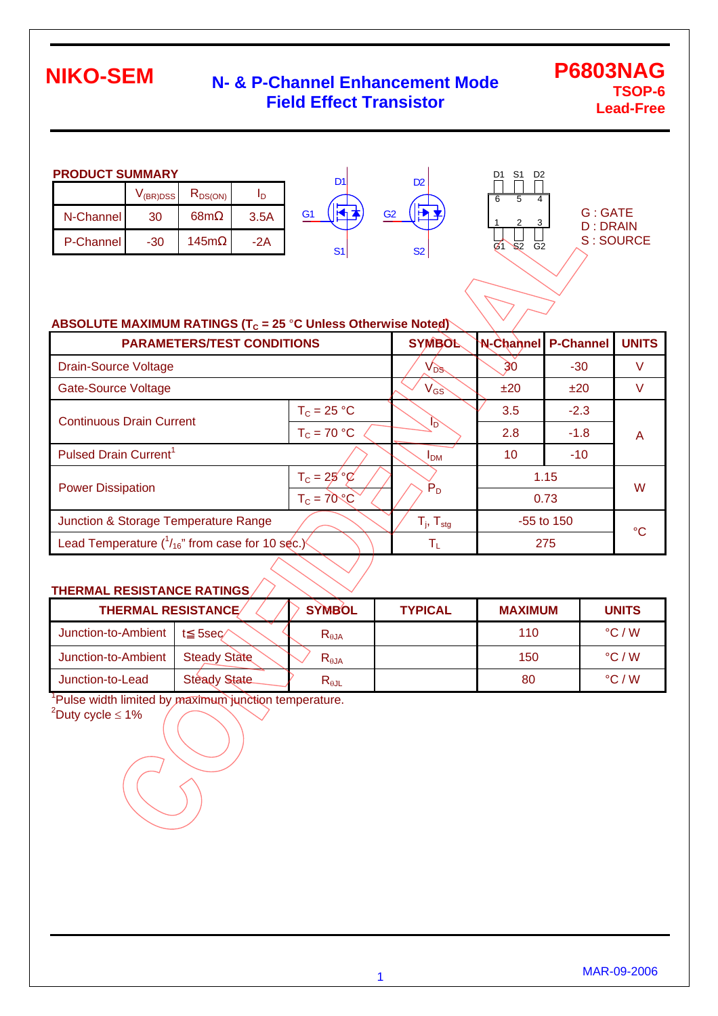## **N- & P-Channel Enhancement Mode Field Effect Transistor**

### **P6803NAG TSOP-6 Lead-Free**

| <b>PRODUCT SUMMARY</b>               |     |      |      |  |  |  |  |  |
|--------------------------------------|-----|------|------|--|--|--|--|--|
| $R_{DS(ON)}$<br>$V_{(BR)DSS}$<br>In. |     |      |      |  |  |  |  |  |
| N-Channel                            | 30  | 68m  | 3.5A |  |  |  |  |  |
| <b>P-Channel</b>                     | -30 | 145m | -2A  |  |  |  |  |  |



D<sub>2</sub>

S2



| G : GATE   |  |
|------------|--|
| D : DRAIN  |  |
| S : SOURCE |  |
|            |  |

| ABSOLUTE MAXIMUM RATINGS ( $T_c$ = 25 °C Unless Otherwise Noted) |                            |                 |                  |              |   |  |  |  |
|------------------------------------------------------------------|----------------------------|-----------------|------------------|--------------|---|--|--|--|
| <b>PARAMETERS/TEST CONDITIONS</b>                                | <b>SYMBOL</b>              | N-Channel       | <b>P-Channel</b> | <b>UNITS</b> |   |  |  |  |
| <b>Drain-Source Voltage</b>                                      | $V_{DS}$                   | 30              | $-30$            | v            |   |  |  |  |
| <b>Gate-Source Voltage</b>                                       | $V_{GS}$                   | ±20             | ±20              | V            |   |  |  |  |
| <b>Continuous Drain Current</b>                                  | $T_c = 25 °C$              |                 | 3.5              | $-2.3$       |   |  |  |  |
|                                                                  | $T_c = 70 °C$              | Iñ              | 2.8              | $-1.8$       | A |  |  |  |
| Pulsed Drain Current <sup>1</sup>                                |                            | I <sub>DM</sub> | 10               | $-10$        |   |  |  |  |
|                                                                  | $T_c = 25°\%$              |                 |                  | 1.15         |   |  |  |  |
| <b>Power Dissipation</b>                                         | $T_c = 70°C$               | $P_D$           | 0.73             |              | W |  |  |  |
| Junction & Storage Temperature Range                             | $T_{j}$ , $T_{\text{stg}}$ | $-55$ to 150    |                  | °€           |   |  |  |  |
| Lead Temperature $(^1/_{16}$ " from case for 10 sec.)            | Tī.                        | 275             |                  |              |   |  |  |  |

#### **THERMAL RESISTANCE RATINGS**

| <b>THERMAL RESISTANCE/</b> |                     | <b>SYMBOL</b>   | <b>TYPICAL</b> | <b>MAXIMUM</b> | <b>UNITS</b>    |
|----------------------------|---------------------|-----------------|----------------|----------------|-----------------|
| Junction-to-Ambient        | 5sec                | $R_{\theta$ JA  |                | 110            | $\degree$ C / W |
| Junction-to-Ambient        | <b>Steady State</b> | $R_{\theta$ JA  |                | 150            | $\degree$ C / W |
| Junction-to-Lead           | <b>Steady State</b> | $R_{\theta JL}$ |                | 80             | $\degree$ C / W |

<sup>1</sup>Pulse width limited by maximum junction temperature.

 $2^2$ Duty cycle  $\leq 1\%$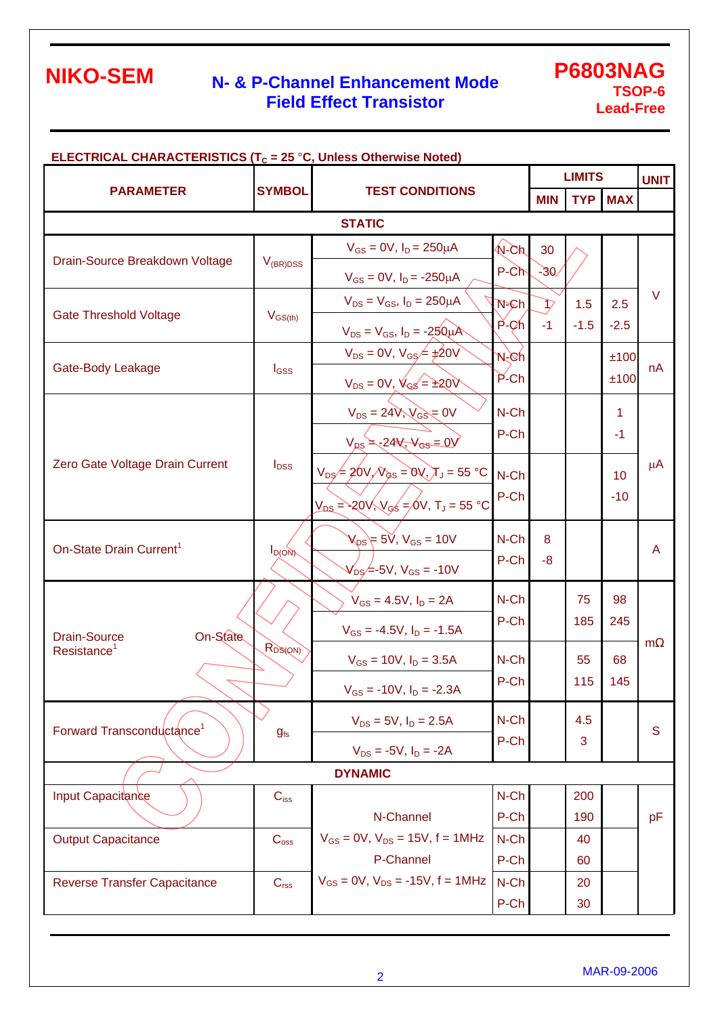## **N- & P-Channel Enhancement Mode Field Effect Transistor**

### **P6803NAG TSOP-6 Lead-Free**

| <b>ELECTRICAL CHARACTERISTICS (T<sub>C</sub> = 25 °C, Unless Otherwise Noted)</b> |                                         |                                                           |                          |                          | <b>LIMITS</b> |                |             |  |  |  |
|-----------------------------------------------------------------------------------|-----------------------------------------|-----------------------------------------------------------|--------------------------|--------------------------|---------------|----------------|-------------|--|--|--|
| <b>PARAMETER</b>                                                                  | <b>SYMBOL</b><br><b>TEST CONDITIONS</b> |                                                           |                          | <b>MIN</b>               |               | <b>TYP MAX</b> | <b>UNIT</b> |  |  |  |
| <b>STATIC</b>                                                                     |                                         |                                                           |                          |                          |               |                |             |  |  |  |
|                                                                                   |                                         | $V_{GS} = 0V$ , $I_D = 250 \mu A$                         | $N$ -Ch                  | 30                       |               |                |             |  |  |  |
| Drain-Source Breakdown Voltage                                                    | $V_{(BR)DSS}$                           | $V_{GS} = 0V$ , $I_D = -250 \mu A$                        | $P-Ch$                   | $-30$                    |               |                |             |  |  |  |
|                                                                                   |                                         | $V_{DS} = V_{GS}$ , $I_D = 250 \mu A$                     | $N = Ch$                 | $\overline{\mathcal{V}}$ | 1.5           | 2.5            | $\vee$      |  |  |  |
| <b>Gate Threshold Voltage</b>                                                     | $V_{GS(th)}$                            | $V_{DS} = V_{GS}$ , $I_D = -250 \mu A$                    | $\overrightarrow{P}$ -Ch | $-1$                     | $-1.5$        | $-2.5$         |             |  |  |  |
|                                                                                   |                                         | $V_{DS} = 0V$ , $V_{GS} = \pm 20V$                        | N-Ch                     |                          |               | ±100           |             |  |  |  |
| Gate-Body Leakage                                                                 | $I_{GSS}$                               | $V_{DS} = 0V, V_{GS} = \pm 20V$                           | $P$ -Ch                  |                          |               | ±100           | nA          |  |  |  |
|                                                                                   |                                         | $V_{DS} = 24V$ , $V_{GS} = 0V$                            | N-Ch                     |                          |               | 1              |             |  |  |  |
|                                                                                   |                                         | $V_{DS} = -24V$ , $V_{GS} = 0V$                           | P-Ch                     |                          |               | $-1$           | $\mu$ A     |  |  |  |
| Zero Gate Voltage Drain Current                                                   | $I_{\text{DSS}}$                        | $V_{DS}$ = 20V, $V_{GS}$ = 0V, $T_J$ = 55 °C              | N-Ch                     |                          |               | 10             |             |  |  |  |
|                                                                                   |                                         | $V_{DS}$ = -20 $V, V_{GS}$ =/0V, T <sub>J</sub> = 55 °C   | P-Ch                     |                          |               | $-10$          |             |  |  |  |
|                                                                                   |                                         |                                                           |                          |                          |               |                |             |  |  |  |
| On-State Drain Current <sup>1</sup>                                               | $I_{D(ON)}$                             | $V_{DS}$ = 5 $\check{V}$ , $V_{GS}$ = 10V                 | N-Ch                     | 8                        |               |                | A           |  |  |  |
|                                                                                   |                                         | $V_{DS}$ - 5V, V <sub>GS</sub> = -10V                     | P-Ch                     | $-8$                     |               |                |             |  |  |  |
|                                                                                   |                                         | $V_{GS} = 4.5V, I_D = 2A$                                 | N-Ch                     |                          | 75            | 98             | m           |  |  |  |
| On-State<br><b>Drain-Source</b>                                                   |                                         | $V_{GS} = -4.5V$ , $I_D = -1.5A$                          | P-Ch                     |                          | 185           | 245            |             |  |  |  |
| Resistance <sup>1</sup>                                                           | R <sub>DS(QN)</sub>                     | $V_{GS} = 10V$ , $I_D = 3.5A$                             | N-Ch                     |                          | 55            | 68             |             |  |  |  |
|                                                                                   |                                         | $V_{GS}$ = -10V, $I_D$ = -2.3A                            | P-Ch                     |                          | 115           | 145            |             |  |  |  |
| Forward Transconductance <sup>1</sup>                                             |                                         | $V_{DS} = 5V$ , $I_D = 2.5A$                              | N-Ch                     |                          | 4.5           |                | S           |  |  |  |
|                                                                                   | $g_{fs}$                                | $V_{DS} = -5V$ , $I_D = -2A$                              | P-Ch                     |                          | 3             |                |             |  |  |  |
| <b>DYNAMIC</b>                                                                    |                                         |                                                           |                          |                          |               |                |             |  |  |  |
| Input Capacitance                                                                 | $C_{iss}$                               |                                                           | N-Ch                     |                          | 200           |                |             |  |  |  |
|                                                                                   |                                         | N-Channel                                                 | P-Ch                     |                          | 190           |                | pF          |  |  |  |
| <b>Output Capacitance</b>                                                         | $C_{\rm oss}$                           | $V_{GS} = 0V$ , $V_{DS} = 15V$ , $f = 1MHz$               | N-Ch                     |                          | 40            |                |             |  |  |  |
| <b>Reverse Transfer Capacitance</b>                                               |                                         | P-Channel<br>$V_{GS} = 0V$ , $V_{DS} = -15V$ , $f = 1MHz$ | P-Ch<br>N-Ch             |                          | 60<br>20      |                |             |  |  |  |
|                                                                                   | C <sub>rss</sub>                        |                                                           | P-Ch                     |                          | 30            |                |             |  |  |  |
|                                                                                   |                                         |                                                           |                          |                          |               |                |             |  |  |  |

<sup>2</sup>MAR-09-2006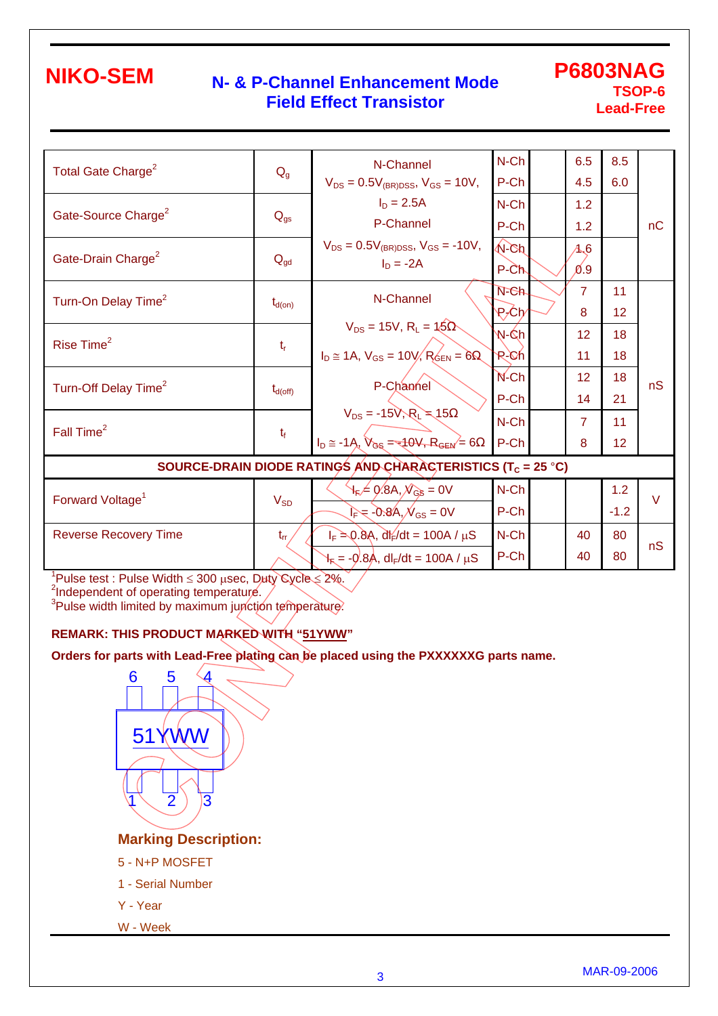### **N- & P-Channel Enhancement Mode Field Effect Transistor**

**P6803NAG TSOP-6 Lead-Free**

| Total Gate Charge <sup>2</sup>                                          | $Q_{g}$             | N-Channel                                                                      | $N$ -Ch       |  | 6.5            | 8.5             |        |  |  |
|-------------------------------------------------------------------------|---------------------|--------------------------------------------------------------------------------|---------------|--|----------------|-----------------|--------|--|--|
|                                                                         |                     | $V_{DS} = 0.5V_{(BR)DSS}$ , $V_{GS} = 10V$ ,                                   | P-Ch          |  | 4.5            | 6.0             |        |  |  |
|                                                                         |                     | $I_D = 2.5A$                                                                   | $N$ -Ch       |  | 1.2            |                 |        |  |  |
| Gate-Source Charge <sup>2</sup>                                         | $Q_{gs}$            | P-Channel                                                                      | P-Ch          |  | 1.2            |                 | nC     |  |  |
|                                                                         |                     | $V_{DS} = 0.5V_{(BR)DSS}$ , $V_{GS} = -10V$ ,                                  | $\sqrt{N-Ch}$ |  | A6             |                 |        |  |  |
| Gate-Drain Charge <sup>2</sup>                                          | $Q_{\text{gd}}$     | $I_D = -2A$                                                                    | $P-Ch$        |  | 0.9            |                 |        |  |  |
| Turn-On Delay Time <sup>2</sup>                                         |                     | N-Channel                                                                      | $N$ -Ch       |  | $\overline{7}$ | 11              |        |  |  |
|                                                                         | $t_{d(on)}$         |                                                                                | ₽≁Ch∕         |  | 8              | 12              |        |  |  |
| Rise Time <sup>2</sup>                                                  |                     | $V_{DS} = 15V$ , $R_L = 15V$                                                   | W-Ćhl         |  | 12             | 18              |        |  |  |
|                                                                         | $t_{\rm r}$         | $I_D \cong 1A$ , $V_{GS} = 10V$ , $R_{GEN} = 6$                                | R-Ch          |  | 11             | 18              |        |  |  |
| Turn-Off Delay Time <sup>2</sup>                                        |                     | P-Channel                                                                      | $N$ -Ch       |  | 12             | 18              | nS     |  |  |
|                                                                         | $t_{d(\text{off})}$ |                                                                                | P-Ch          |  | 14             | 21              |        |  |  |
| Fall Time <sup>2</sup>                                                  |                     | $V_{DS} = -15V, R_L = 15$<br>$I_D \approx -1A$ , $V_{GS} = -140V, R_{GEN} = 6$ | N-Ch          |  | $\overline{7}$ | 11              |        |  |  |
|                                                                         | $t_f$               |                                                                                | P-Ch          |  | 8              | 12 <sub>2</sub> |        |  |  |
| SOURCE-DRAIN DIODE RATINGS AND CHARACTERISTICS (T <sub>C</sub> = 25 °C) |                     |                                                                                |               |  |                |                 |        |  |  |
| Forward Voltage <sup>1</sup>                                            |                     | $\forall_{\mathsf{F}}\neq 0$ .8A, $\mathcal{N}_{\mathsf{GS}}=0$ V              | $N$ -Ch       |  |                | 1.2             | $\vee$ |  |  |
|                                                                         | $V_{SD}$            | $I_F = -0.8A$ , $N_{GS} = 0V$                                                  | P-Ch          |  |                | $-1.2$          |        |  |  |
| <b>Reverse Recovery Time</b>                                            | $t_{rr}$            | $I_F = 0.8$ A, dl $f/dt = 100$ A / $\mu$ S                                     | N-Ch          |  | 40             | 80              |        |  |  |
|                                                                         |                     | $H_E = -0.8$ Α΄, dl <sub>F</sub> /dt = 100Α / μS                               | P-Ch          |  | 40             | 80              | nS     |  |  |
|                                                                         |                     |                                                                                |               |  |                |                 |        |  |  |

 $1$ Pulse test : Pulse Width  $\leq 300$  usec, Duty Cycle  $\leq 2\%$ .

<sup>2</sup>Independent of operating temperature.

<sup>3</sup>Pulse width limited by maximum junction temperature.

#### **REMARK: THIS PRODUCT MARKED WITH "51YWW"**

**Orders for parts with Lead-Free plating can be placed using the PXXXXXXG parts name.**



**Marking Description:** 

- 5 N+P MOSFET
- 1 Serial Number
- Y Year
- W Week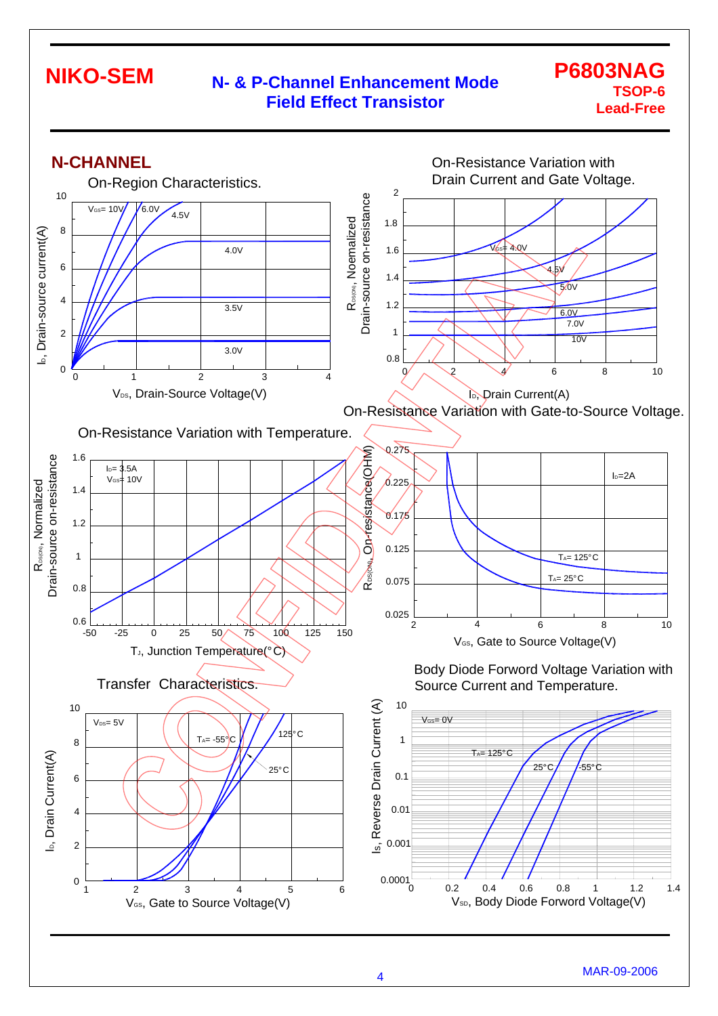### **N- & P-Channel Enhancement Mode Field Effect Transistor**

### **P6803NAG TSOP-6 Lead-Free**

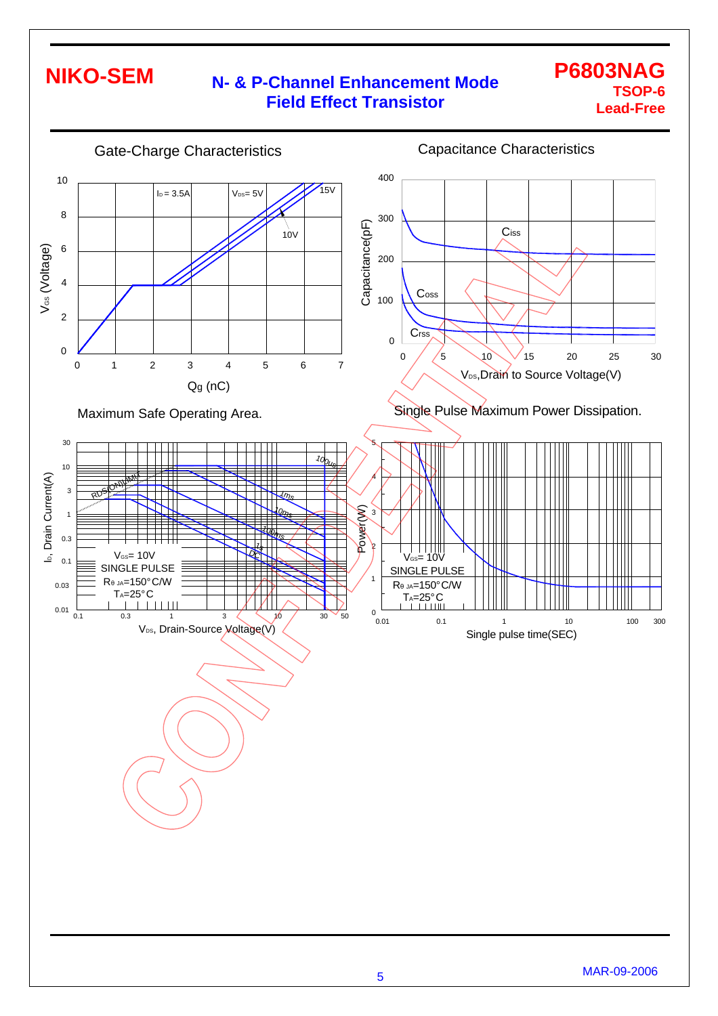## **N- & P-Channel Enhancement Mode Field Effect Transistor**

### **P6803NAG TSOP-6 Lead-Free**

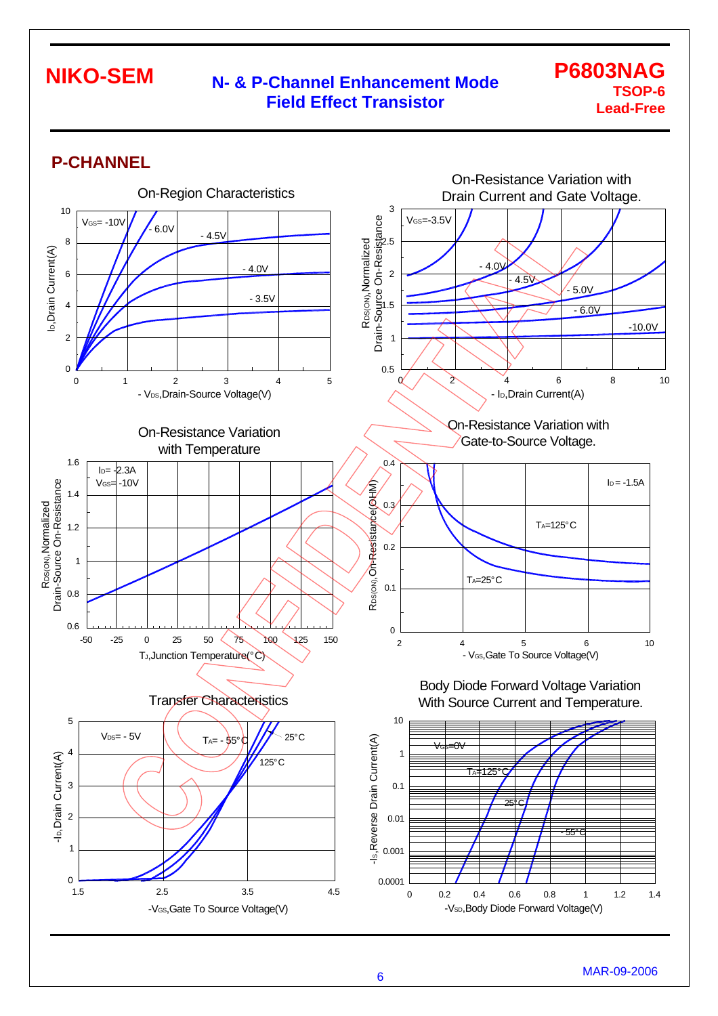### **N- & P-Channel Enhancement Mode Field Effect Transistor**

### **P6803NAG TSOP-6 Lead-Free**

### **P-CHANNEL**

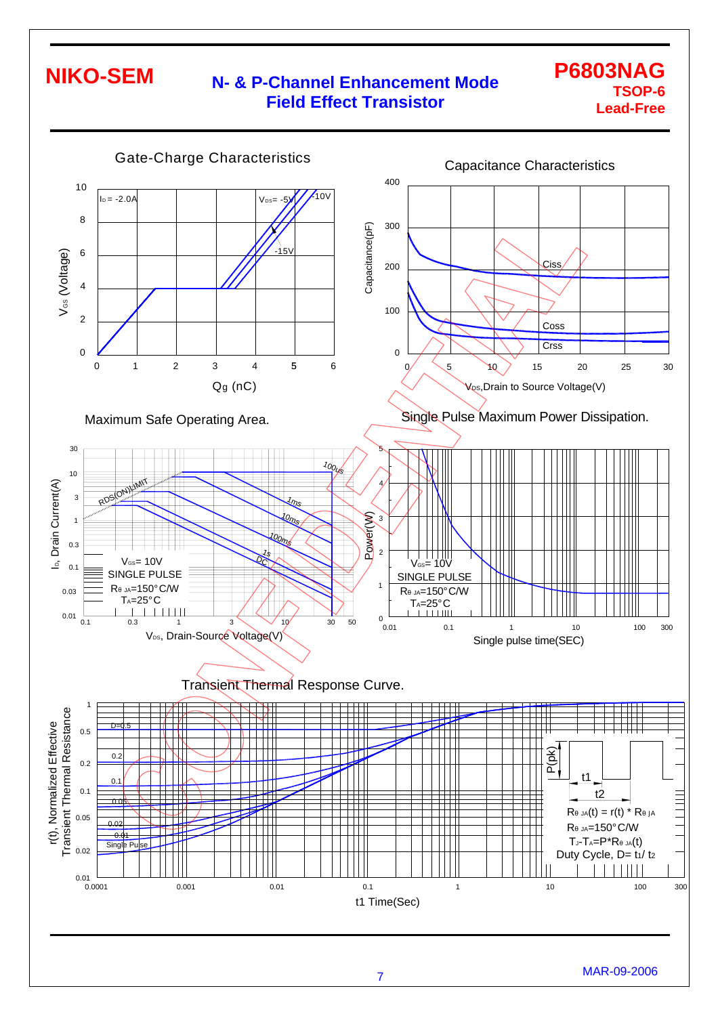## **N- & P-Channel Enhancement Mode Field Effect Transistor**

### **P6803NAG TSOP-6 Lead-Free**